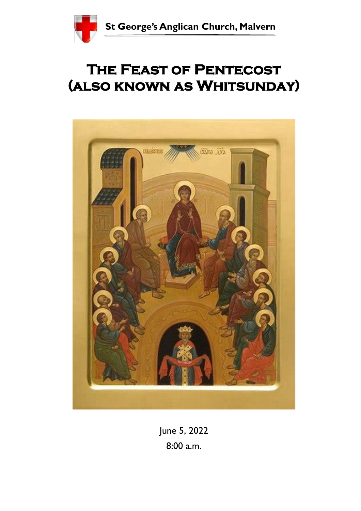

# **The Feast of Pentecost (also known as Whitsunday)**



June 5, 2022 8:00 a.m.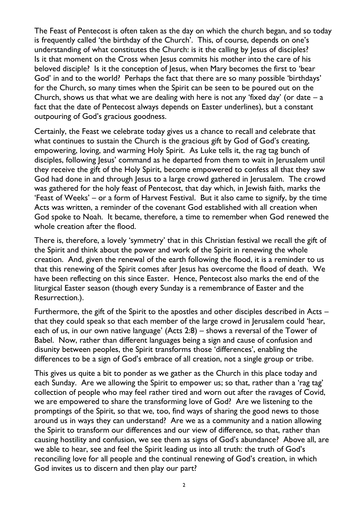The Feast of Pentecost is often taken as the day on which the church began, and so today is frequently called 'the birthday of the Church'. This, of course, depends on one's understanding of what constitutes the Church: is it the calling by Jesus of disciples? Is it that moment on the Cross when Jesus commits his mother into the care of his beloved disciple? Is it the conception of Jesus, when Mary becomes the first to 'bear God' in and to the world? Perhaps the fact that there are so many possible 'birthdays' for the Church, so many times when the Spirit can be seen to be poured out on the Church, shows us that what we are dealing with here is not any 'fixed day' (or date  $-a$ fact that the date of Pentecost always depends on Easter underlines), but a constant outpouring of God's gracious goodness.

Certainly, the Feast we celebrate today gives us a chance to recall and celebrate that what continues to sustain the Church is the gracious gift by God of God's creating, empowering, loving, and warming Holy Spirit. As Luke tells it, the rag tag bunch of disciples, following Jesus' command as he departed from them to wait in Jerusalem until they receive the gift of the Holy Spirit, become empowered to confess all that they saw God had done in and through Jesus to a large crowd gathered in Jerusalem. The crowd was gathered for the holy feast of Pentecost, that day which, in Jewish faith, marks the 'Feast of Weeks' – or a form of Harvest Festival. But it also came to signify, by the time Acts was written, a reminder of the covenant God established with all creation when God spoke to Noah. It became, therefore, a time to remember when God renewed the whole creation after the flood.

There is, therefore, a lovely 'symmetry' that in this Christian festival we recall the gift of the Spirit and think about the power and work of the Spirit in renewing the whole creation. And, given the renewal of the earth following the flood, it is a reminder to us that this renewing of the Spirit comes after Jesus has overcome the flood of death. We have been reflecting on this since Easter. Hence, Pentecost also marks the end of the liturgical Easter season (though every Sunday is a remembrance of Easter and the Resurrection.).

Furthermore, the gift of the Spirit to the apostles and other disciples described in Acts that they could speak so that each member of the large crowd in Jerusalem could 'hear, each of us, in our own native language' (Acts 2:8) – shows a reversal of the Tower of Babel. Now, rather than different languages being a sign and cause of confusion and disunity between peoples, the Spirit transforms those 'differences', enabling the differences to be a sign of God's embrace of all creation, not a single group or tribe.

This gives us quite a bit to ponder as we gather as the Church in this place today and each Sunday. Are we allowing the Spirit to empower us; so that, rather than a 'rag tag' collection of people who may feel rather tired and worn out after the ravages of Covid, we are empowered to share the transforming love of God? Are we listening to the promptings of the Spirit, so that we, too, find ways of sharing the good news to those around us in ways they can understand? Are we as a community and a nation allowing the Spirit to transform our differences and our view of difference, so that, rather than causing hostility and confusion, we see them as signs of God's abundance? Above all, are we able to hear, see and feel the Spirit leading us into all truth: the truth of God's reconciling love for all people and the continual renewing of God's creation, in which God invites us to discern and then play our part?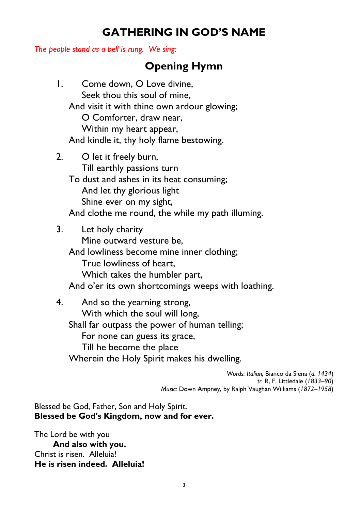### **GATHERING IN GOD'S NAME**

*The people stand as a bell is rung. We sing:* 

### **Opening Hymn**

|    | Come down, O Love divine,<br>Seek thou this soul of mine,<br>And visit it with thine own ardour glowing;<br>O Comforter, draw near,<br>Within my heart appear,<br>And kindle it, thy holy flame bestowing.   |
|----|--------------------------------------------------------------------------------------------------------------------------------------------------------------------------------------------------------------|
| 2. | O let it freely burn,<br>Till earthly passions turn<br>To dust and ashes in its heat consuming;<br>And let thy glorious light<br>Shine ever on my sight,<br>And clothe me round, the while my path illuming. |
| 3. | Let holy charity<br>Mine outward vesture be,<br>And lowliness become mine inner clothing;<br>True lowliness of heart,<br>Which takes the humbler part,<br>And o'er its own shortcomings weeps with loathing. |
|    |                                                                                                                                                                                                              |

4. And so the yearning strong, With which the soul will long, Shall far outpass the power of human telling; For none can guess its grace, Till he become the place Wherein the Holy Spirit makes his dwelling.

> *Words: Italian,* Bianco da Siena (*d. 1434*) *tr.* R, F. Littledale (*1833–90*) *Music:* Down Ampney, by Ralph Vaughan Williams (*1872–1958*)

Blessed be God, Father, Son and Holy Spirit. **Blessed be God's Kingdom, now and for ever.** 

The Lord be with you **And also with you.** Christ is risen. Alleluia! **He is risen indeed. Alleluia!**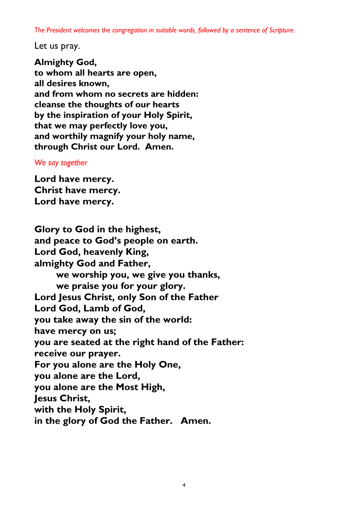*The President welcomes the congregation in suitable words, followed by a sentence of Scripture.* 

Let us pray.

**Almighty God, to whom all hearts are open, all desires known, and from whom no secrets are hidden: cleanse the thoughts of our hearts by the inspiration of your Holy Spirit, that we may perfectly love you, and worthily magnify your holy name, through Christ our Lord. Amen.** 

#### *We say together*

**Lord have mercy. Christ have mercy. Lord have mercy.** 

**Glory to God in the highest, and peace to God's people on earth. Lord God, heavenly King, almighty God and Father, we worship you, we give you thanks, we praise you for your glory. Lord Jesus Christ, only Son of the Father Lord God, Lamb of God, you take away the sin of the world: have mercy on us; you are seated at the right hand of the Father: receive our prayer. For you alone are the Holy One, you alone are the Lord, you alone are the Most High, Jesus Christ, with the Holy Spirit, in the glory of God the Father. Amen.**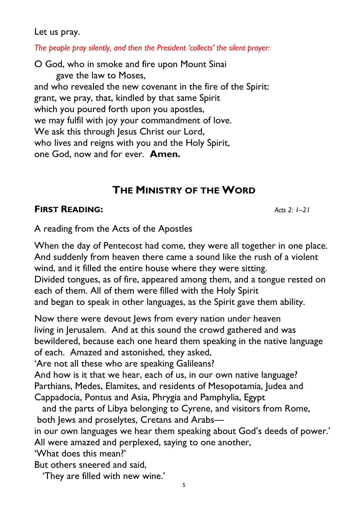Let us pray.

*The people pray silently, and then the President 'collects' the silent prayer:*

O God, who in smoke and fire upon Mount Sinai gave the law to Moses, and who revealed the new covenant in the fire of the Spirit: grant, we pray, that, kindled by that same Spirit which you poured forth upon you apostles, we may fulfil with joy your commandment of love. We ask this through Jesus Christ our Lord, who lives and reigns with you and the Holy Spirit, one God, now and for ever. **Amen.** 

### **THE MINISTRY OF THE WORD**

### **FIRST READING:** *Acts 2: 1–21*

A reading from the Acts of the Apostles

When the day of Pentecost had come, they were all together in one place. And suddenly from heaven there came a sound like the rush of a violent wind, and it filled the entire house where they were sitting. Divided tongues, as of fire, appeared among them, and a tongue rested on each of them. All of them were filled with the Holy Spirit and began to speak in other languages, as the Spirit gave them ability.

Now there were devout Jews from every nation under heaven living in Jerusalem. And at this sound the crowd gathered and was bewildered, because each one heard them speaking in the native language of each. Amazed and astonished, they asked,

'Are not all these who are speaking Galileans?

And how is it that we hear, each of us, in our own native language? Parthians, Medes, Elamites, and residents of Mesopotamia, Judea and Cappadocia, Pontus and Asia, Phrygia and Pamphylia, Egypt

 and the parts of Libya belonging to Cyrene, and visitors from Rome, both Jews and proselytes, Cretans and Arabs—

in our own languages we hear them speaking about God's deeds of power.' All were amazed and perplexed, saying to one another,

'What does this mean?'

But others sneered and said,

'They are filled with new wine.'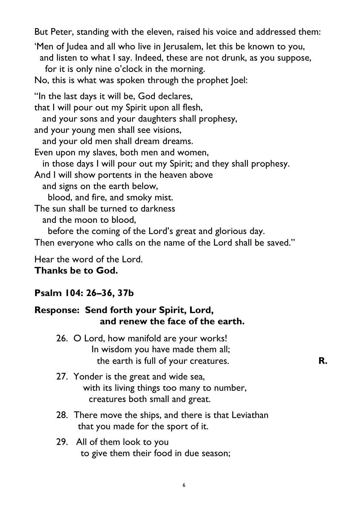But Peter, standing with the eleven, raised his voice and addressed them:

'Men of Judea and all who live in Jerusalem, let this be known to you, and listen to what I say. Indeed, these are not drunk, as you suppose, for it is only nine o'clock in the morning.

No, this is what was spoken through the prophet Joel:

"In the last days it will be, God declares, that I will pour out my Spirit upon all flesh, and your sons and your daughters shall prophesy, and your young men shall see visions, and your old men shall dream dreams. Even upon my slaves, both men and women, in those days I will pour out my Spirit; and they shall prophesy. And I will show portents in the heaven above and signs on the earth below, blood, and fire, and smoky mist. The sun shall be turned to darkness and the moon to blood, before the coming of the Lord's great and glorious day. Then everyone who calls on the name of the Lord shall be saved."

Hear the word of the Lord.

### **Thanks be to God.**

### **Psalm 104: 26–36, 37b**

### **Response: Send forth your Spirit, Lord, and renew the face of the earth.**

- 26. O Lord, how manifold are your works! In wisdom you have made them all; the earth is full of your creatures. **R.**
- 27. Yonder is the great and wide sea, with its living things too many to number, creatures both small and great.
- 28. There move the ships, and there is that Leviathan that you made for the sport of it.
- 29. All of them look to you to give them their food in due season;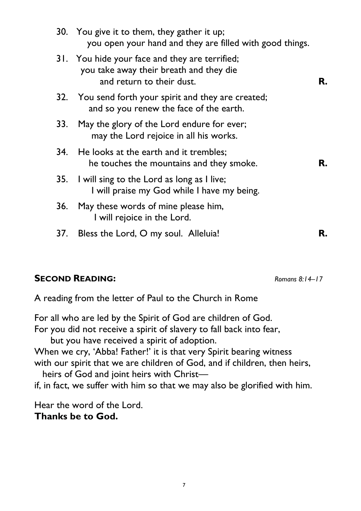|     | 30. You give it to them, they gather it up;<br>you open your hand and they are filled with good things.                |    |
|-----|------------------------------------------------------------------------------------------------------------------------|----|
|     | 31. You hide your face and they are terrified;<br>you take away their breath and they die<br>and return to their dust. | R. |
|     | 32. You send forth your spirit and they are created;<br>and so you renew the face of the earth.                        |    |
| 33. | May the glory of the Lord endure for ever;<br>may the Lord rejoice in all his works.                                   |    |
| 34. | He looks at the earth and it trembles;<br>he touches the mountains and they smoke.                                     | R. |
| 35. | I will sing to the Lord as long as I live;<br>I will praise my God while I have my being.                              |    |
| 36. | May these words of mine please him,<br>I will rejoice in the Lord.                                                     |    |
| 37. | Bless the Lord, O my soul. Alleluia!                                                                                   | R. |

### **SECOND READING:** *Romans 8:14–17*

A reading from the letter of Paul to the Church in Rome

For all who are led by the Spirit of God are children of God. For you did not receive a spirit of slavery to fall back into fear, but you have received a spirit of adoption. When we cry, 'Abba! Father!' it is that very Spirit bearing witness with our spirit that we are children of God, and if children, then heirs, heirs of God and joint heirs with Christ—

if, in fact, we suffer with him so that we may also be glorified with him.

Hear the word of the Lord. **Thanks be to God.**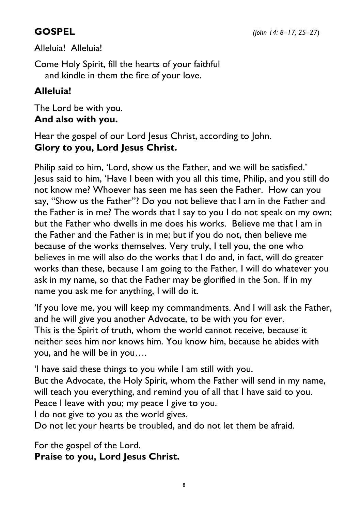#### **GOSPEL** *(John 14: 8–17, 25–27*)

Alleluia! Alleluia!

Come Holy Spirit, fill the hearts of your faithful and kindle in them the fire of your love.

### **Alleluia!**

The Lord be with you. **And also with you.** 

Hear the gospel of our Lord Jesus Christ, according to John. **Glory to you, Lord Jesus Christ.** 

Philip said to him, 'Lord, show us the Father, and we will be satisfied.' Jesus said to him, 'Have I been with you all this time, Philip, and you still do not know me? Whoever has seen me has seen the Father. How can you say, "Show us the Father"? Do you not believe that I am in the Father and the Father is in me? The words that I say to you I do not speak on my own; but the Father who dwells in me does his works. Believe me that I am in the Father and the Father is in me; but if you do not, then believe me because of the works themselves. Very truly, I tell you, the one who believes in me will also do the works that I do and, in fact, will do greater works than these, because I am going to the Father. I will do whatever you ask in my name, so that the Father may be glorified in the Son. If in my name you ask me for anything, I will do it.

'If you love me, you will keep my commandments. And I will ask the Father, and he will give you another Advocate, to be with you for ever. This is the Spirit of truth, whom the world cannot receive, because it neither sees him nor knows him. You know him, because he abides with you, and he will be in you….

'I have said these things to you while I am still with you.

But the Advocate, the Holy Spirit, whom the Father will send in my name, will teach you everything, and remind you of all that I have said to you.

Peace I leave with you; my peace I give to you.

I do not give to you as the world gives.

Do not let your hearts be troubled, and do not let them be afraid.

For the gospel of the Lord. **Praise to you, Lord Jesus Christ.**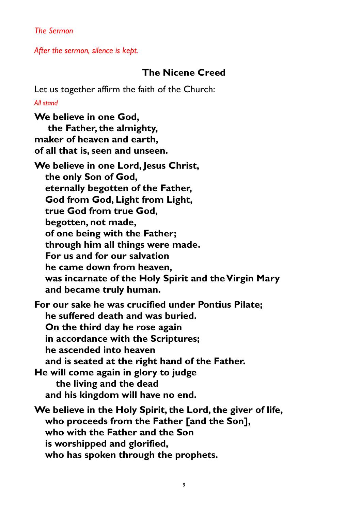*The Sermon* 

*After the sermon, silence is kept.* 

### **The Nicene Creed**

Let us together affirm the faith of the Church:

*All stand* 

**We believe in one God, the Father, the almighty, maker of heaven and earth, of all that is, seen and unseen.** 

**We believe in one Lord, Jesus Christ, the only Son of God, eternally begotten of the Father, God from God, Light from Light, true God from true God, begotten, not made, of one being with the Father; through him all things were made. For us and for our salvation he came down from heaven, was incarnate of the Holy Spirit and the Virgin Mary and became truly human.** 

**For our sake he was crucified under Pontius Pilate; he suffered death and was buried. On the third day he rose again in accordance with the Scriptures; he ascended into heaven** 

 **and is seated at the right hand of the Father.** 

**He will come again in glory to judge the living and the dead and his kingdom will have no end.** 

**We believe in the Holy Spirit, the Lord, the giver of life, who proceeds from the Father [and the Son], who with the Father and the Son is worshipped and glorified, who has spoken through the prophets.**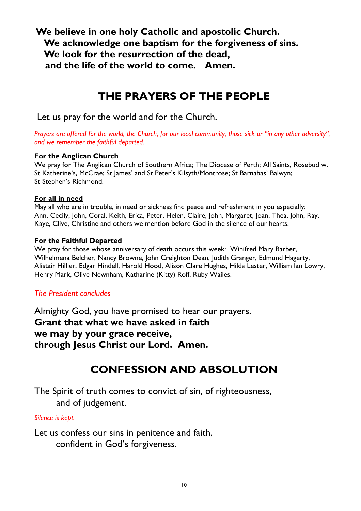**We believe in one holy Catholic and apostolic Church. We acknowledge one baptism for the forgiveness of sins. We look for the resurrection of the dead, and the life of the world to come. Amen.** 

### **THE PRAYERS OF THE PEOPLE**

Let us pray for the world and for the Church.

Prayers are offered for the world, the Church, for our local community, those sick or "in any other adversity", *and we remember the faithful departed.* 

#### **For the Anglican Church**

We pray for The Anglican Church of Southern Africa; The Diocese of Perth; All Saints, Rosebud w. St Katherine's, McCrae; St James' and St Peter's Kilsyth/Montrose; St Barnabas' Balwyn; St Stephen's Richmond.

#### **For all in need**

May all who are in trouble, in need or sickness find peace and refreshment in you especially: Ann, Cecily, John, Coral, Keith, Erica, Peter, Helen, Claire, John, Margaret, Joan, Thea, John, Ray, Kaye, Clive, Christine and others we mention before God in the silence of our hearts.

#### **For the Faithful Departed**

We pray for those whose anniversary of death occurs this week: Winifred Mary Barber, Wilhelmena Belcher, Nancy Browne, John Creighton Dean, Judith Granger, Edmund Hagerty, Alistair Hillier, Edgar Hindell, Harold Hood, Alison Clare Hughes, Hilda Lester, William Ian Lowry, Henry Mark, Olive Newnham, Katharine (Kitty) Roff, Ruby Wailes.

### *The President concludes*

Almighty God, you have promised to hear our prayers. **Grant that what we have asked in faith we may by your grace receive, through Jesus Christ our Lord. Amen.**

## **CONFESSION AND ABSOLUTION**

The Spirit of truth comes to convict of sin, of righteousness, and of judgement.

#### *Silence is kept.*

Let us confess our sins in penitence and faith, confident in God's forgiveness.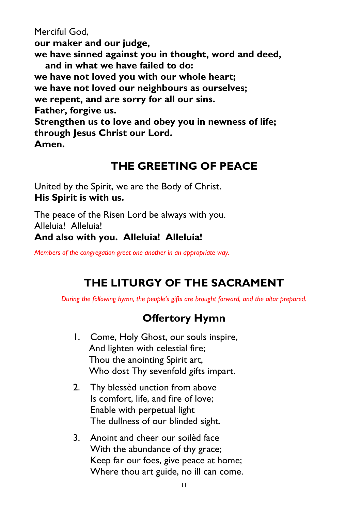Merciful God,

**our maker and our judge,** 

**we have sinned against you in thought, word and deed,** 

 **and in what we have failed to do:** 

**we have not loved you with our whole heart;** 

**we have not loved our neighbours as ourselves;** 

**we repent, and are sorry for all our sins.** 

**Father, forgive us.** 

**Strengthen us to love and obey you in newness of life; through Jesus Christ our Lord.** 

**Amen.** 

### **THE GREETING OF PEACE**

United by the Spirit, we are the Body of Christ. **His Spirit is with us.** 

The peace of the Risen Lord be always with you. Alleluia! Alleluia! **And also with you. Alleluia! Alleluia!** 

*Members of the congregation greet one another in an appropriate way.* 

## **THE LITURGY OF THE SACRAMENT**

*During the following hymn, the people's gifts are brought forward, and the altar prepared.*

### **Offertory Hymn**

- 1. Come, Holy Ghost, our souls inspire, And lighten with celestial fire; Thou the anointing Spirit art, Who dost Thy sevenfold gifts impart.
- 2. Thy blessèd unction from above Is comfort, life, and fire of love; Enable with perpetual light The dullness of our blinded sight.
- 3. Anoint and cheer our soilèd face With the abundance of thy grace; Keep far our foes, give peace at home; Where thou art guide, no ill can come.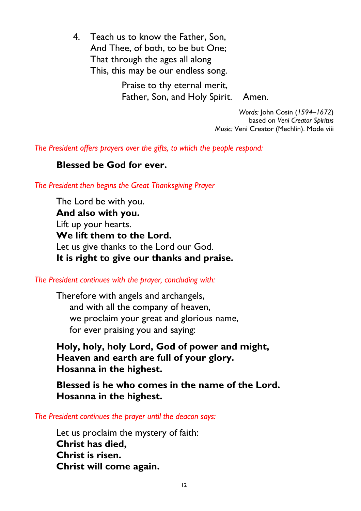4. Teach us to know the Father, Son, And Thee, of both, to be but One; That through the ages all along This, this may be our endless song.

> Praise to thy eternal merit, Father, Son, and Holy Spirit. Amen.

> > *Words:* John Cosin (*1594–1672*) based on *Veni Creator Spiritus*

*Music:* Veni Creator (Mechlin). Mode viii

*The President offers prayers over the gifts, to which the people respond:* 

### **Blessed be God for ever.**

*The President then begins the Great Thanksgiving Prayer* 

The Lord be with you. **And also with you.**  Lift up your hearts. **We lift them to the Lord.**  Let us give thanks to the Lord our God. **It is right to give our thanks and praise.** 

*The President continues with the prayer, concluding with:* 

Therefore with angels and archangels, and with all the company of heaven, we proclaim your great and glorious name, for ever praising you and saying:

**Holy, holy, holy Lord, God of power and might, Heaven and earth are full of your glory. Hosanna in the highest.** 

**Blessed is he who comes in the name of the Lord. Hosanna in the highest.** 

*The President continues the prayer until the deacon says:* 

Let us proclaim the mystery of faith: **Christ has died, Christ is risen. Christ will come again.**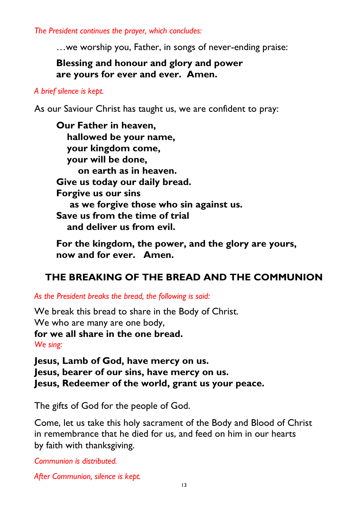*The President continues the prayer, which concludes:* 

…we worship you, Father, in songs of never-ending praise:

**Blessing and honour and glory and power are yours for ever and ever. Amen.** 

#### *A brief silence is kept.*

As our Saviour Christ has taught us, we are confident to pray:

**Our Father in heaven, hallowed be your name, your kingdom come, your will be done, on earth as in heaven. Give us today our daily bread. Forgive us our sins as we forgive those who sin against us. Save us from the time of trial and deliver us from evil.** 

 **For the kingdom, the power, and the glory are yours, now and for ever. Amen.** 

### **THE BREAKING OF THE BREAD AND THE COMMUNION**

*As the President breaks the bread, the following is said:* 

We break this bread to share in the Body of Christ. We who are many are one body, **for we all share in the one bread.**  *We sing:* 

**Jesus, Lamb of God, have mercy on us. Jesus, bearer of our sins, have mercy on us. Jesus, Redeemer of the world, grant us your peace.** 

The gifts of God for the people of God.

Come, let us take this holy sacrament of the Body and Blood of Christ in remembrance that he died for us, and feed on him in our hearts by faith with thanksgiving.

*Communion is distributed.* 

*After Communion, silence is kept.*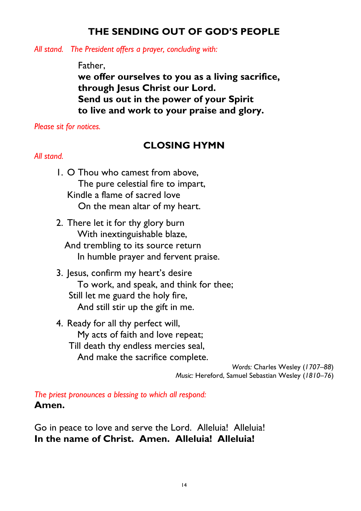### **THE SENDING OUT OF GOD'S PEOPLE**

*All stand. The President offers a prayer, concluding with:* 

#### Father,

**we offer ourselves to you as a living sacrifice, through Jesus Christ our Lord. Send us out in the power of your Spirit to live and work to your praise and glory.** 

*Please sit for notices.* 

### **CLOSING HYMN**

#### *All stand.*

- 1. O Thou who camest from above, The pure celestial fire to impart, Kindle a flame of sacred love On the mean altar of my heart.
- 2. There let it for thy glory burn With inextinguishable blaze, And trembling to its source return In humble prayer and fervent praise.
- 3. Jesus, confirm my heart's desire To work, and speak, and think for thee; Still let me guard the holy fire, And still stir up the gift in me.
- 4. Ready for all thy perfect will, My acts of faith and love repeat; Till death thy endless mercies seal, And make the sacrifice complete.

*Words:* Charles Wesley (*1707–88*) *Music:* Hereford, Samuel Sebastian Wesley (*1810–76*)

*The priest pronounces a blessing to which all respond:*  **Amen.** 

Go in peace to love and serve the Lord. Alleluia! Alleluia! **In the name of Christ. Amen. Alleluia! Alleluia!**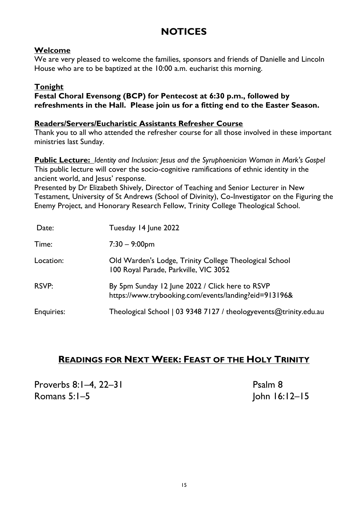### **NOTICES**

#### **Welcome**

We are very pleased to welcome the families, sponsors and friends of Danielle and Lincoln House who are to be baptized at the 10:00 a.m. eucharist this morning.

#### **Tonight**

**Festal Choral Evensong (BCP) for Pentecost at 6:30 p.m., followed by refreshments in the Hall. Please join us for a fitting end to the Easter Season.** 

#### **Readers/Servers/Eucharistic Assistants Refresher Course**

Thank you to all who attended the refresher course for all those involved in these important ministries last Sunday.

**Public Lecture:** *Identity and Inclusion: Jesus and the Syruphoenician Woman in Mark's Gospel*  This public lecture will cover the socio-cognitive ramifications of ethnic identity in the ancient world, and lesus' response.

Presented by Dr Elizabeth Shively, Director of Teaching and Senior Lecturer in New Testament, University of St Andrews (School of Divinity), Co-Investigator on the Figuring the Enemy Project, and Honorary Research Fellow, Trinity College Theological School.

| Date:             | Tuesday 14 June 2022                                                                                     |
|-------------------|----------------------------------------------------------------------------------------------------------|
| Time:             | $7:30 - 9:00$ pm                                                                                         |
| Location:         | Old Warden's Lodge, Trinity College Theological School<br>100 Royal Parade, Parkville, VIC 3052          |
| RSVP:             | By 5pm Sunday 12 June 2022 / Click here to RSVP<br>https://www.trybooking.com/events/landing?eid=913196& |
| <b>Enquiries:</b> | Theological School   03 9348 7127 / theologyevents@trinity.edu.au                                        |

### **READINGS FOR NEXT WEEK: FEAST OF THE HOLY TRINITY**

Proverbs 8:1–4, 22–31 Proverbs 8:1–4, 22–31 Romans 5:1–5 John 16:12–15